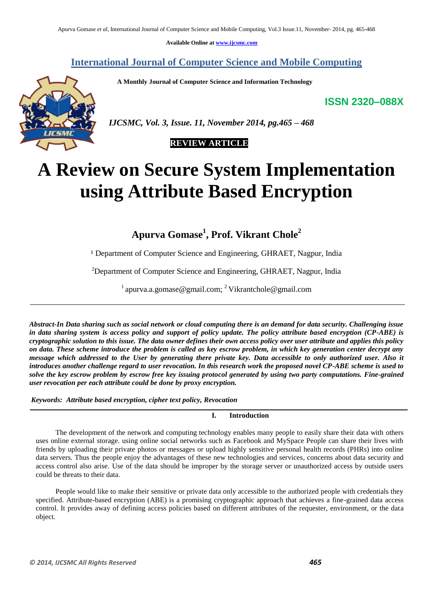**Available Online at www.ijcsmc.com**

**International Journal of Computer Science and Mobile Computing**

 **A Monthly Journal of Computer Science and Information Technology**

**ISSN 2320–088X**



 *IJCSMC, Vol. 3, Issue. 11, November 2014, pg.465 – 468*

# **REVIEW ARTICLE**

# **A Review on Secure System Implementation using Attribute Based Encryption**

**Apurva Gomase<sup>1</sup> , Prof. Vikrant Chole<sup>2</sup>**

<sup>1</sup> Department of Computer Science and Engineering, GHRAET, Nagpur, India

<sup>2</sup>Department of Computer Science and Engineering, GHRAET, Nagpur, India

<sup>1</sup> apurva.a.gomase@gmail.com; <sup>2</sup> Vikrantchole@gmail.com

*Abstract-In Data sharing such as social network or cloud computing there is an demand for data security. Challenging issue in data sharing system is access policy and support of policy update. The policy attribute based encryption (CP-ABE) is cryptographic solution to this issue. The data owner defines their own access policy over user attribute and applies this policy on data. These scheme introduce the problem is called as key escrow problem, in which key generation center decrypt any message which addressed to the User by generating there private key. Data accessible to only authorized user. Also it introduces another challenge regard to user revocation. In this research work the proposed novel CP-ABE scheme is used to solve the key escrow problem by escrow free key issuing protocol generated by using two party computations. Fine-grained user revocation per each attribute could be done by proxy encryption.*

*Keywords: Attribute based encryption, cipher text policy, Revocation*

**I. Introduction**

The development of the network and computing technology enables many people to easily share their data with others uses online external storage. using online social networks such as Facebook and MySpace People can share their lives with friends by uploading their private photos or messages or upload highly sensitive personal health records (PHRs) into online data servers. Thus the people enjoy the advantages of these new technologies and services, concerns about data security and access control also arise. Use of the data should be improper by the storage server or unauthorized access by outside users could be threats to their data.

People would like to make their sensitive or private data only accessible to the authorized people with credentials they specified. Attribute-based encryption (ABE) is a promising cryptographic approach that achieves a fine-grained data access control. It provides away of defining access policies based on different attributes of the requester, environment, or the data object.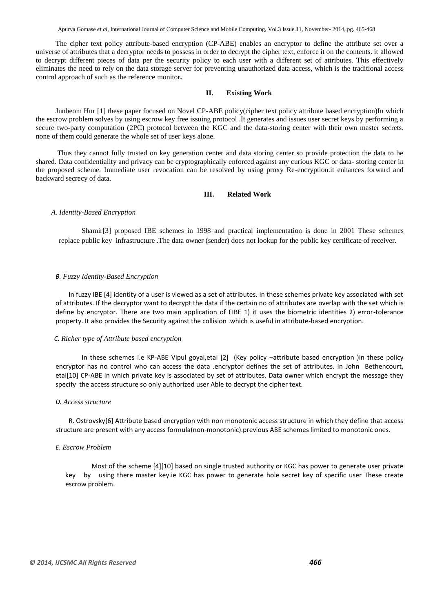Apurva Gomase *et al*, International Journal of Computer Science and Mobile Computing, Vol.3 Issue.11, November- 2014, pg. 465-468

The cipher text policy attribute-based encryption (CP-ABE) enables an encryptor to define the attribute set over a universe of attributes that a decryptor needs to possess in order to decrypt the cipher text, enforce it on the contents. it allowed to decrypt different pieces of data per the security policy to each user with a different set of attributes. This effectively eliminates the need to rely on the data storage server for preventing unauthorized data access, which is the traditional access control approach of such as the reference monitor**.**

# **II. Existing Work**

Junbeom Hur [1] these paper focused on Novel CP-ABE policy(cipher text policy attribute based encryption)In which the escrow problem solves by using escrow key free issuing protocol .It generates and issues user secret keys by performing a secure two-party computation (2PC) protocol between the KGC and the data-storing center with their own master secrets. none of them could generate the whole set of user keys alone.

Thus they cannot fully trusted on key generation center and data storing center so provide protection the data to be shared. Data confidentiality and privacy can be cryptographically enforced against any curious KGC or data- storing center in the proposed scheme. Immediate user revocation can be resolved by using proxy Re-encryption.it enhances forward and backward secrecy of data.

#### **III. Related Work**

#### *A. Identity-Based Encryption*

Shamir[3] proposed IBE schemes in 1998 and practical implementation is done in 2001 These schemes replace public key infrastructure .The data owner (sender) does not lookup for the public key certificate of receiver.

#### *B. Fuzzy Identity-Based Encryption*

In fuzzy IBE [4] identity of a user is viewed as a set of attributes. In these schemes private key associated with set of attributes. If the decryptor want to decrypt the data if the certain no of attributes are overlap with the set which is define by encryptor. There are two main application of FIBE 1) it uses the biometric identities 2) error-tolerance property. It also provides the Security against the collision .which is useful in attribute-based encryption.

#### *C. Richer type of Attribute based encryption*

In these schemes i.e KP-ABE Vipul goyal,etal [2] (Key policy –attribute based encryption )in these policy encryptor has no control who can access the data .encryptor defines the set of attributes. In John Bethencourt, etal[10] CP-ABE in which private key is associated by set of attributes. Data owner which encrypt the message they specify the access structure so only authorized user Able to decrypt the cipher text.

### *D. Access structure*

R. Ostrovsky[6] Attribute based encryption with non monotonic access structure in which they define that access structure are present with any access formula(non-monotonic).previous ABE schemes limited to monotonic ones.

#### *E. Escrow Problem*

Most of the scheme [4][10] based on single trusted authority or KGC has power to generate user private key by using there master key.ie KGC has power to generate hole secret key of specific user These create escrow problem.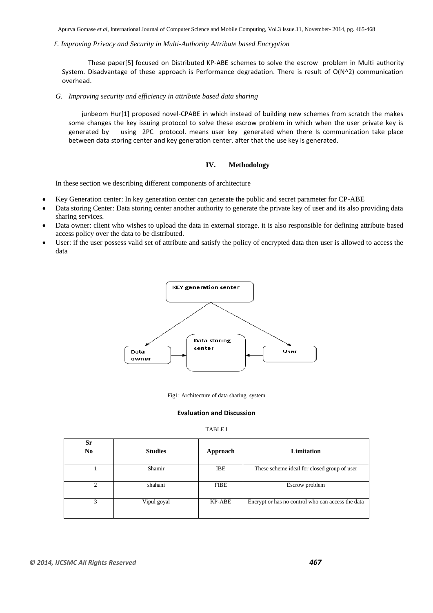Apurva Gomase *et al*, International Journal of Computer Science and Mobile Computing, Vol.3 Issue.11, November- 2014, pg. 465-468

## *F. Improving Privacy and Security in Multi-Authority Attribute based Encryption*

These paper[5] focused on Distributed KP-ABE schemes to solve the escrow problem in Multi authority System. Disadvantage of these approach is Performance degradation. There is result of O(N^2) communication overhead.

#### *G. Improving security and efficiency in attribute based data sharing*

junbeom Hur[1] proposed novel-CPABE in which instead of building new schemes from scratch the makes some changes the key issuing protocol to solve these escrow problem in which when the user private key is generated by using 2PC protocol. means user key generated when there Is communication take place between data storing center and key generation center. after that the use key is generated.

# **IV. Methodology**

In these section we describing different components of architecture

- Key Generation center: In key generation center can generate the public and secret parameter for CP-ABE
- Data storing Center: Data storing center another authority to generate the private key of user and its also providing data sharing services.
- Data owner: client who wishes to upload the data in external storage. it is also responsible for defining attribute based access policy over the data to be distributed.
- User: if the user possess valid set of attribute and satisfy the policy of encrypted data then user is allowed to access the data



Fig1: Architecture of data sharing system

## **Evaluation and Discussion**

TABLE I

| Sr<br>N <sub>0</sub> | <b>Studies</b> | Approach    | Limitation                                        |
|----------------------|----------------|-------------|---------------------------------------------------|
|                      | Shamir         | <b>IBE</b>  | These scheme ideal for closed group of user       |
| ↑                    | shahani        | <b>FIBE</b> | Escrow problem                                    |
|                      | Vipul goyal    | KP-ABE      | Encrypt or has no control who can access the data |